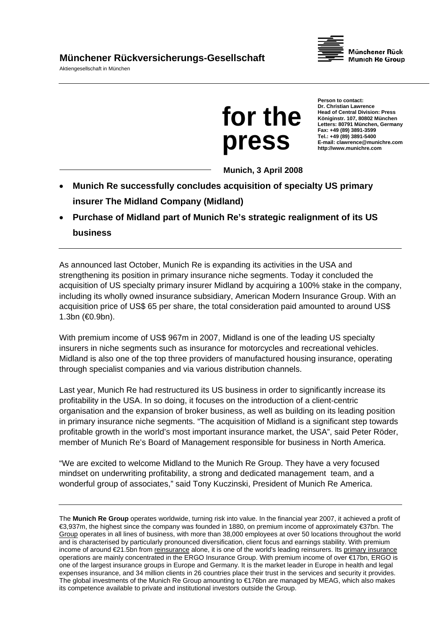Aktiengesellschaft in München





**Person to contact: Dr. Christian Lawrence Head of Central Division: Press Königinstr. 107, 80802 München Letters: 80791 München, Germany Fax: +49 (89) 3891-3599 Tel.: +49 (89) 3891-5400 E-mail: clawrence@munichre.com http://www.munichre.com** 

**Munich, 3 April 2008** 

- **Munich Re successfully concludes acquisition of specialty US primary insurer The Midland Company (Midland)**
- **Purchase of Midland part of Munich Re's strategic realignment of its US business**

As announced last October, Munich Re is expanding its activities in the USA and strengthening its position in primary insurance niche segments. Today it concluded the acquisition of US specialty primary insurer Midland by acquiring a 100% stake in the company, including its wholly owned insurance subsidiary, American Modern Insurance Group. With an acquisition price of US\$ 65 per share, the total consideration paid amounted to around US\$ 1.3bn (€0.9bn).

With premium income of US\$ 967m in 2007, Midland is one of the leading US specialty insurers in niche segments such as insurance for motorcycles and recreational vehicles. Midland is also one of the top three providers of manufactured housing insurance, operating through specialist companies and via various distribution channels.

Last year, Munich Re had restructured its US business in order to significantly increase its profitability in the USA. In so doing, it focuses on the introduction of a client-centric organisation and the expansion of broker business, as well as building on its leading position in primary insurance niche segments. "The acquisition of Midland is a significant step towards profitable growth in the world's most important insurance market, the USA", said Peter Röder, member of Munich Re's Board of Management responsible for business in North America.

"We are excited to welcome Midland to the Munich Re Group. They have a very focused mindset on underwriting profitability, a strong and dedicated management team, and a wonderful group of associates," said Tony Kuczinski, President of Munich Re America.

The **Munich Re Group** operates worldwide, turning risk into value. In the financial year 2007, it achieved a profit of €3,937m, the highest since the company was founded in 1880, on premium income of approximately €37bn. The Group operates in all lines of business, with more than 38,000 employees at over 50 locations throughout the world and is characterised by particularly pronounced diversification, client focus and earnings stability. With premium income of around €21.5bn from reinsurance alone, it is one of the world's leading reinsurers. Its primary insurance operations are mainly concentrated in the ERGO Insurance Group. With premium income of over €17bn, ERGO is one of the largest insurance groups in Europe and Germany. It is the market leader in Europe in health and legal expenses insurance, and 34 million clients in 26 countries place their trust in the services and security it provides. The global investments of the Munich Re Group amounting to €176bn are managed by MEAG, which also makes its competence available to private and institutional investors outside the Group.